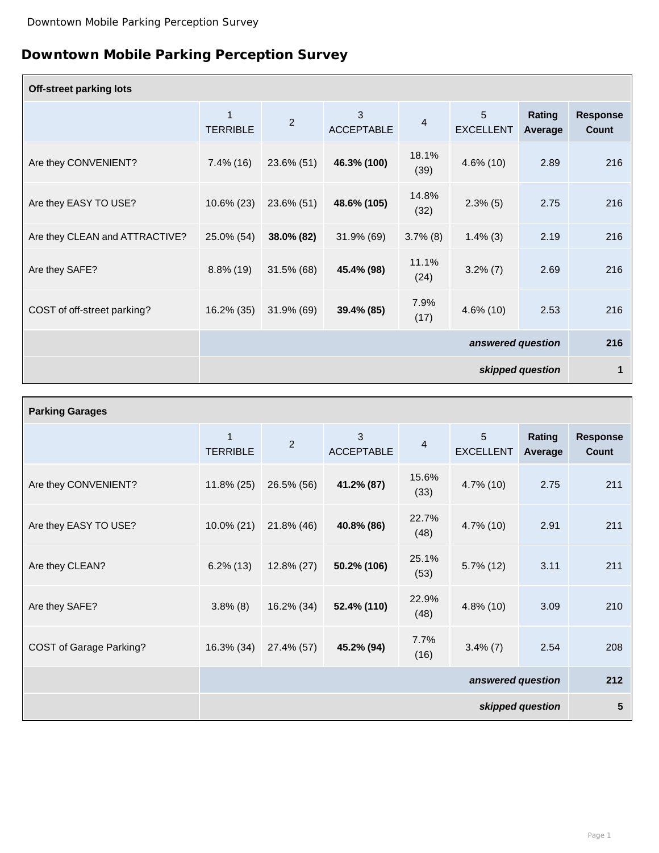## **Downtown Mobile Parking Perception Survey**

| <b>Off-street parking lots</b> |                                |                  |                        |                |                                    |                          |                                 |
|--------------------------------|--------------------------------|------------------|------------------------|----------------|------------------------------------|--------------------------|---------------------------------|
|                                | $\mathbf 1$<br><b>TERRIBLE</b> | $\overline{2}$   | 3<br><b>ACCEPTABLE</b> | $\overline{4}$ | $5\phantom{.}$<br><b>EXCELLENT</b> | Rating<br><b>Average</b> | <b>Response</b><br><b>Count</b> |
| Are they CONVENIENT?           | $7.4\%$ (16)                   | 23.6% (51)       | 46.3% (100)            | 18.1%<br>(39)  | $4.6\%$ (10)                       | 2.89                     | 216                             |
| Are they EASY TO USE?          | $10.6\% (23)$                  | 23.6% (51)       | 48.6% (105)            | 14.8%<br>(32)  | $2.3\%$ (5)                        | 2.75                     | 216                             |
| Are they CLEAN and ATTRACTIVE? | 25.0% (54)                     | 38.0% (82)       | $31.9\%$ (69)          | $3.7\%$ (8)    | $1.4\%$ (3)                        | 2.19                     | 216                             |
| Are they SAFE?                 | $8.8\%$ (19)                   | $31.5\%$ (68)    | 45.4% (98)             | 11.1%<br>(24)  | $3.2\%$ (7)                        | 2.69                     | 216                             |
| COST of off-street parking?    | 16.2% (35)                     | 31.9% (69)       | 39.4% (85)             | 7.9%<br>(17)   | $4.6\%$ (10)                       | 2.53                     | 216                             |
|                                | answered question              |                  |                        |                |                                    | 216                      |                                 |
|                                |                                | skipped question |                        |                |                                    |                          | 1                               |

| <b>Parking Garages</b>         |                                 |                |                        |                |                                    |                          |                                 |
|--------------------------------|---------------------------------|----------------|------------------------|----------------|------------------------------------|--------------------------|---------------------------------|
|                                | $\mathbf{1}$<br><b>TERRIBLE</b> | $\overline{2}$ | 3<br><b>ACCEPTABLE</b> | $\overline{4}$ | $5\phantom{.}$<br><b>EXCELLENT</b> | <b>Rating</b><br>Average | <b>Response</b><br><b>Count</b> |
| Are they CONVENIENT?           | $11.8\% (25)$                   | 26.5% (56)     | 41.2% (87)             | 15.6%<br>(33)  | 4.7% (10)                          | 2.75                     | 211                             |
| Are they EASY TO USE?          | $10.0\% (21)$                   | 21.8% (46)     | 40.8% (86)             | 22.7%<br>(48)  | 4.7% (10)                          | 2.91                     | 211                             |
| Are they CLEAN?                | $6.2\%$ (13)                    | $12.8\% (27)$  | 50.2% (106)            | 25.1%<br>(53)  | $5.7\%$ (12)                       | 3.11                     | 211                             |
| Are they SAFE?                 | $3.8\%$ (8)                     | 16.2% (34)     | 52.4% (110)            | 22.9%<br>(48)  | $4.8\%$ (10)                       | 3.09                     | 210                             |
| <b>COST of Garage Parking?</b> | 16.3% (34)                      | 27.4% (57)     | 45.2% (94)             | 7.7%<br>(16)   | $3.4\%$ (7)                        | 2.54                     | 208                             |
|                                | answered question               |                |                        |                |                                    | 212                      |                                 |
|                                | skipped question                |                |                        |                |                                    | 5                        |                                 |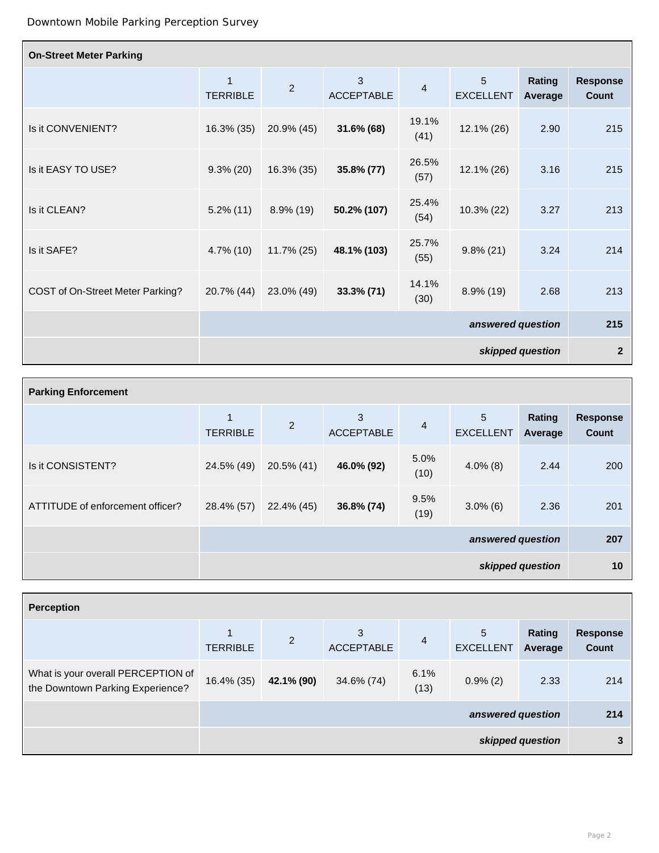| <b>On-Street Meter Parking</b>   |                                 |                |                        |                         |                       |                                 |                                 |
|----------------------------------|---------------------------------|----------------|------------------------|-------------------------|-----------------------|---------------------------------|---------------------------------|
|                                  | $\mathbf{1}$<br><b>TERRIBLE</b> | $\overline{2}$ | 3<br><b>ACCEPTABLE</b> | $\overline{\mathbf{4}}$ | 5<br><b>EXCELLENT</b> | <b>Rating</b><br><b>Average</b> | <b>Response</b><br><b>Count</b> |
| Is it CONVENIENT?                | 16.3% (35)                      | 20.9% (45)     | $31.6\%$ (68)          | 19.1%<br>(41)           | 12.1% (26)            | 2.90                            | 215                             |
| Is it EASY TO USE?               | $9.3\% (20)$                    | $16.3\%$ (35)  | 35.8% (77)             | 26.5%<br>(57)           | 12.1% (26)            | 3.16                            | 215                             |
| Is it CLEAN?                     | $5.2\%$ (11)                    | $8.9\%$ (19)   | 50.2% (107)            | 25.4%<br>(54)           | 10.3% (22)            | 3.27                            | 213                             |
| Is it SAFE?                      | $4.7\%$ (10)                    | $11.7\% (25)$  | 48.1% (103)            | 25.7%<br>(55)           | $9.8\% (21)$          | 3.24                            | 214                             |
| COST of On-Street Meter Parking? | 20.7% (44)                      | 23.0% (49)     | $33.3\% (71)$          | 14.1%<br>(30)           | $8.9\%$ (19)          | 2.68                            | 213                             |
|                                  | answered question               |                |                        |                         |                       | 215                             |                                 |
|                                  | skipped question                |                |                        |                         |                       | $\overline{2}$                  |                                 |

| <b>Parking Enforcement</b>       |                      |                |                        |                |                       |                          |                                 |
|----------------------------------|----------------------|----------------|------------------------|----------------|-----------------------|--------------------------|---------------------------------|
|                                  | 1<br><b>TERRIBLE</b> | $\overline{2}$ | 3<br><b>ACCEPTABLE</b> | $\overline{4}$ | 5<br><b>EXCELLENT</b> | <b>Rating</b><br>Average | <b>Response</b><br><b>Count</b> |
| Is it CONSISTENT?                | 24.5% (49)           | $20.5\%$ (41)  | 46.0% (92)             | 5.0%<br>(10)   | $4.0\%$ (8)           | 2.44                     | 200                             |
| ATTITUDE of enforcement officer? | 28.4% (57)           | 22.4% (45)     | 36.8% (74)             | 9.5%<br>(19)   | $3.0\%$ (6)           | 2.36                     | 201                             |
|                                  | answered question    |                |                        |                |                       | 207                      |                                 |
|                                  | skipped question     |                |                        |                |                       | 10                       |                                 |

| <b>Perception</b>                                                      |                   |                |                        |                |                       |                   |                                 |
|------------------------------------------------------------------------|-------------------|----------------|------------------------|----------------|-----------------------|-------------------|---------------------------------|
|                                                                        | <b>TERRIBLE</b>   | $\overline{2}$ | 3<br><b>ACCEPTABLE</b> | $\overline{4}$ | 5<br><b>EXCELLENT</b> | Rating<br>Average | <b>Response</b><br><b>Count</b> |
| What is your overall PERCEPTION of<br>the Downtown Parking Experience? | 16.4% (35)        | 42.1% (90)     | 34.6% (74)             | 6.1%<br>(13)   | $0.9\%(2)$            | 2.33              | 214                             |
|                                                                        | answered question |                |                        |                |                       | 214               |                                 |
|                                                                        | skipped question  |                |                        |                |                       | 3                 |                                 |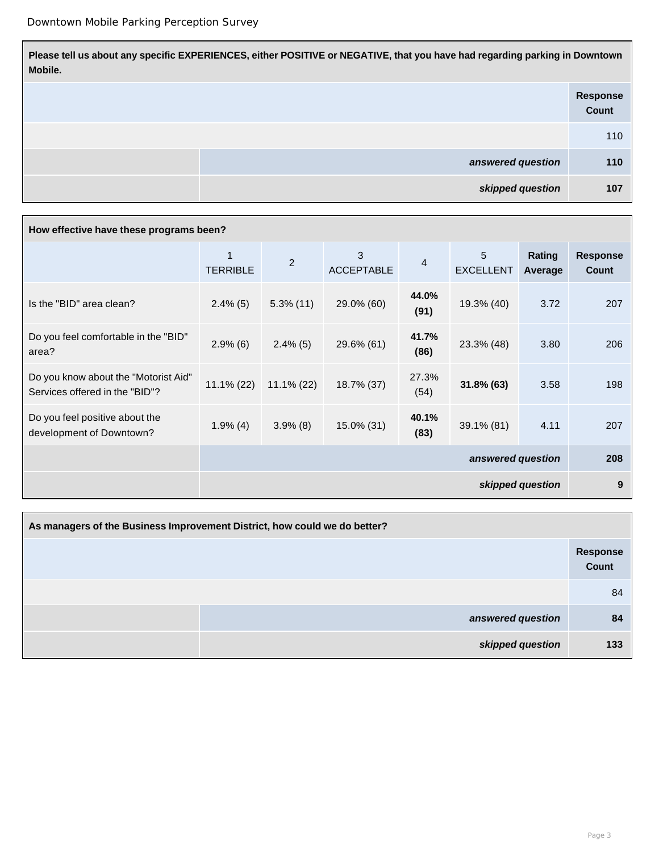**Please tell us about any specific EXPERIENCES, either POSITIVE or NEGATIVE, that you have had regarding parking in Downtown Mobile. Response**

|                   | Count |
|-------------------|-------|
|                   | 110   |
| answered question | 110   |
| skipped question  | 107   |

## **How effective have these programs been?**

|                                                                        | <b>TERRIBLE</b>   | $\overline{2}$ | 3<br><b>ACCEPTABLE</b> | $\overline{\mathbf{4}}$ | 5<br><b>EXCELLENT</b> | Rating<br>Average | <b>Response</b><br><b>Count</b> |
|------------------------------------------------------------------------|-------------------|----------------|------------------------|-------------------------|-----------------------|-------------------|---------------------------------|
| Is the "BID" area clean?                                               | $2.4\%$ (5)       | $5.3\%$ (11)   | 29.0% (60)             | 44.0%<br>(91)           | 19.3% (40)            | 3.72              | 207                             |
| Do you feel comfortable in the "BID"<br>area?                          | $2.9\%$ (6)       | $2.4\%$ (5)    | 29.6% (61)             | 41.7%<br>(86)           | 23.3% (48)            | 3.80              | 206                             |
| Do you know about the "Motorist Aid"<br>Services offered in the "BID"? | $11.1\% (22)$     | $11.1\% (22)$  | 18.7% (37)             | 27.3%<br>(54)           | $31.8\%$ (63)         | 3.58              | 198                             |
| Do you feel positive about the<br>development of Downtown?             | $1.9\%$ (4)       | $3.9\%$ (8)    | 15.0% (31)             | 40.1%<br>(83)           | 39.1% (81)            | 4.11              | 207                             |
|                                                                        | answered question |                |                        |                         |                       | 208               |                                 |
|                                                                        | skipped question  |                |                        |                         |                       | 9                 |                                 |

| As managers of the Business Improvement District, how could we do better? |                                 |  |  |  |  |
|---------------------------------------------------------------------------|---------------------------------|--|--|--|--|
|                                                                           | <b>Response</b><br><b>Count</b> |  |  |  |  |
|                                                                           | 84                              |  |  |  |  |
| answered question                                                         | 84                              |  |  |  |  |
| skipped question                                                          | 133                             |  |  |  |  |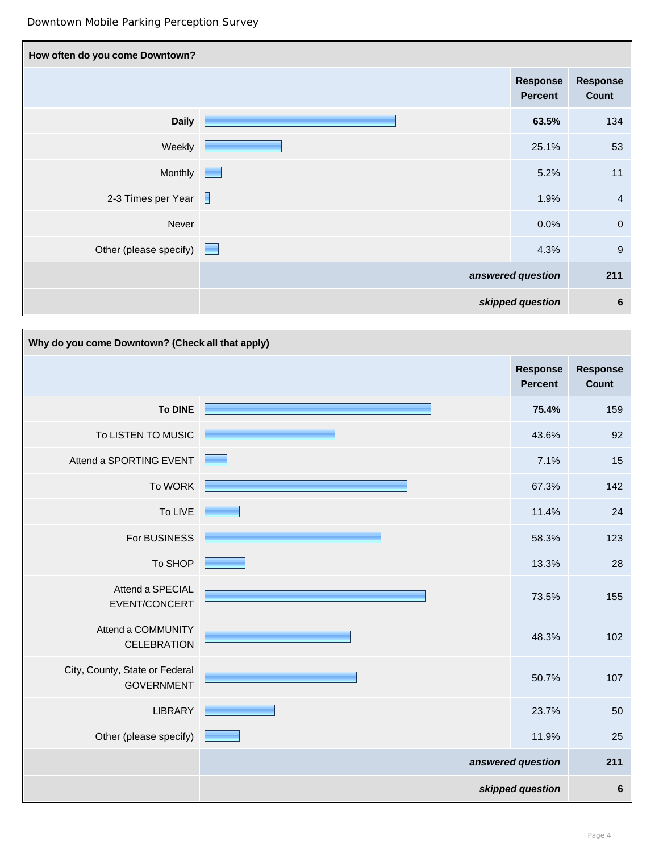| How often do you come Downtown? |                                   |                          |
|---------------------------------|-----------------------------------|--------------------------|
|                                 | <b>Response</b><br><b>Percent</b> | <b>Response</b><br>Count |
| <b>Daily</b>                    | 63.5%                             | 134                      |
| Weekly                          | 25.1%                             | 53                       |
| Monthly                         | 5.2%                              | 11                       |
| 2-3 Times per Year $\Box$       | 1.9%                              | $\overline{4}$           |
| Never                           | 0.0%                              | $\boldsymbol{0}$         |
| Other (please specify)          | 4.3%                              | $\boldsymbol{9}$         |
|                                 | answered question                 | 211                      |
|                                 | skipped question                  | $6\phantom{1}6$          |

| Why do you come Downtown? (Check all that apply)    |                                   |                                 |
|-----------------------------------------------------|-----------------------------------|---------------------------------|
|                                                     | <b>Response</b><br><b>Percent</b> | <b>Response</b><br><b>Count</b> |
| To DINE                                             | 75.4%                             | 159                             |
| To LISTEN TO MUSIC                                  | 43.6%                             | 92                              |
| Attend a SPORTING EVENT                             | 7.1%                              | 15                              |
| To WORK                                             | 67.3%                             | 142                             |
| To LIVE                                             | 11.4%                             | 24                              |
| For BUSINESS                                        | 58.3%                             | 123                             |
| To SHOP                                             | 13.3%                             | 28                              |
| Attend a SPECIAL<br>EVENT/CONCERT                   | 73.5%                             | 155                             |
| Attend a COMMUNITY<br><b>CELEBRATION</b>            | 48.3%                             | 102                             |
| City, County, State or Federal<br><b>GOVERNMENT</b> | 50.7%                             | 107                             |
| <b>LIBRARY</b>                                      | 23.7%                             | 50                              |
| Other (please specify)                              | 11.9%                             | 25                              |
|                                                     | answered question                 | 211                             |
|                                                     | skipped question                  | $6\phantom{1}6$                 |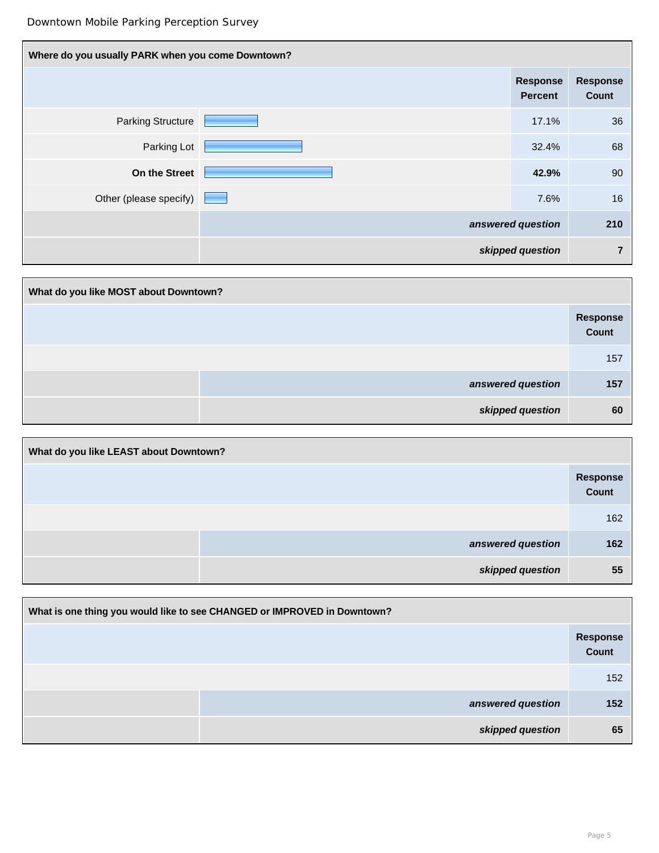| Where do you usually PARK when you come Downtown? |  |                                   |                          |  |  |
|---------------------------------------------------|--|-----------------------------------|--------------------------|--|--|
|                                                   |  | <b>Response</b><br><b>Percent</b> | <b>Response</b><br>Count |  |  |
| <b>Parking Structure</b>                          |  | 17.1%                             | 36                       |  |  |
| Parking Lot                                       |  | 32.4%                             | 68                       |  |  |
| <b>On the Street</b>                              |  | 42.9%                             | 90                       |  |  |
| Other (please specify)                            |  | 7.6%                              | 16                       |  |  |
|                                                   |  | answered question                 | 210                      |  |  |
|                                                   |  | skipped question                  | $\overline{7}$           |  |  |

| What do you like MOST about Downtown? |                   |  |  |  |  |
|---------------------------------------|-------------------|--|--|--|--|
|                                       | Response<br>Count |  |  |  |  |
|                                       | 157               |  |  |  |  |
| answered question                     | 157               |  |  |  |  |
| skipped question                      | 60                |  |  |  |  |

| What do you like LEAST about Downtown? |                   |                   |  |  |  |  |
|----------------------------------------|-------------------|-------------------|--|--|--|--|
|                                        |                   | Response<br>Count |  |  |  |  |
|                                        |                   | 162               |  |  |  |  |
|                                        | answered question | 162               |  |  |  |  |
|                                        | skipped question  | 55                |  |  |  |  |

| What is one thing you would like to see CHANGED or IMPROVED in Downtown? |                  |                          |  |  |  |  |
|--------------------------------------------------------------------------|------------------|--------------------------|--|--|--|--|
|                                                                          |                  | <b>Response</b><br>Count |  |  |  |  |
|                                                                          |                  | 152                      |  |  |  |  |
| answered question                                                        |                  | 152                      |  |  |  |  |
|                                                                          | skipped question | 65                       |  |  |  |  |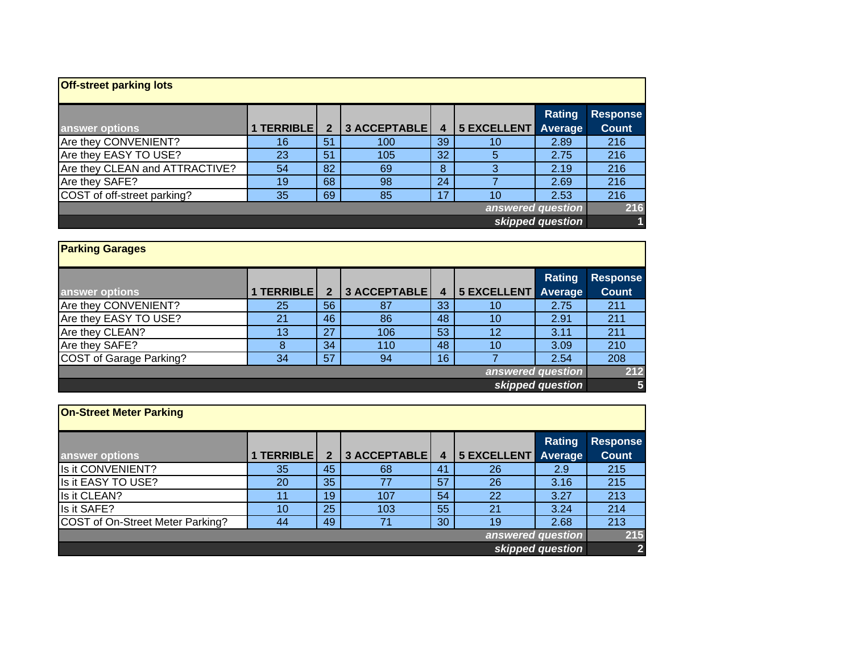| <b>Off-street parking lots</b> |            |                |              |    |                            |               |                                 |  |
|--------------------------------|------------|----------------|--------------|----|----------------------------|---------------|---------------------------------|--|
| answer options                 | 1 TERRIBLE | $\overline{2}$ | 3 ACCEPTABLE | 4  | <b>5 EXCELLENT</b> Average | <b>Rating</b> | <b>Response</b><br><b>Count</b> |  |
| Are they CONVENIENT?           | 16         | 51             | 100          | 39 | 10                         | 2.89          | 216                             |  |
| Are they EASY TO USE?          | 23         | 51             | 105          | 32 | 5                          | 2.75          | 216                             |  |
| Are they CLEAN and ATTRACTIVE? | 54         | 82             | 69           | 8  |                            | 2.19          | 216                             |  |
| Are they SAFE?                 | 19         | 68             | 98           | 24 |                            | 2.69          | 216                             |  |
| COST of off-street parking?    | 35         | 69             | 85           | 17 | 10                         | 2.53          | 216                             |  |
| answered question              |            |                |              |    |                            |               |                                 |  |
| skipped question               |            |                |              |    |                            |               |                                 |  |

| <b>Parking Garages</b>  |            |              |              |    |                            |        |                                 |
|-------------------------|------------|--------------|--------------|----|----------------------------|--------|---------------------------------|
| answer options          | 1 TERRIBLE | $\mathbf{2}$ | 3 ACCEPTABLE | 4  | <b>5 EXCELLENT</b> Average | Rating | <b>Response</b><br><b>Count</b> |
| Are they CONVENIENT?    | 25         | 56           | 87           | 33 | 10                         | 2.75   | 211                             |
| Are they EASY TO USE?   | 21         | 46           | 86           | 48 | 10                         | 2.91   | 211                             |
| Are they CLEAN?         | 13         | 27           | 106          | 53 | 12                         | 3.11   | 211                             |
| Are they SAFE?          | 8          | 34           | 110          | 48 | 10                         | 3.09   | 210                             |
| COST of Garage Parking? | 34         | 57           | 94           | 16 |                            | 2.54   | 208                             |
| answered question       |            |              |              |    |                            |        |                                 |
| skipped question        |            |              |              |    |                            |        |                                 |

| <b>On-Street Meter Parking</b>   |            |                |              |    |                            |        |                                 |
|----------------------------------|------------|----------------|--------------|----|----------------------------|--------|---------------------------------|
| answer options                   | 1 TERRIBLE | $\overline{2}$ | 3 ACCEPTABLE | 4  | <b>5 EXCELLENT Average</b> | Rating | <b>Response</b><br><b>Count</b> |
| Is it CONVENIENT?                | 35         | 45             | 68           | 41 | 26                         | 2.9    | 215                             |
| Is it EASY TO USE?               | 20         | 35             | 77           | 57 | 26                         | 3.16   | 215                             |
| Is it CLEAN?                     | 11         | 19             | 107          | 54 | 22                         | 3.27   | 213                             |
| Is it SAFE?                      | 10         | 25             | 103          | 55 | 21                         | 3.24   | 214                             |
| COST of On-Street Meter Parking? | 44         | 49             | 71           | 30 | 19                         | 2.68   | 213                             |
| answered question                |            |                |              |    |                            |        |                                 |
| skipped question                 |            |                |              |    |                            |        |                                 |